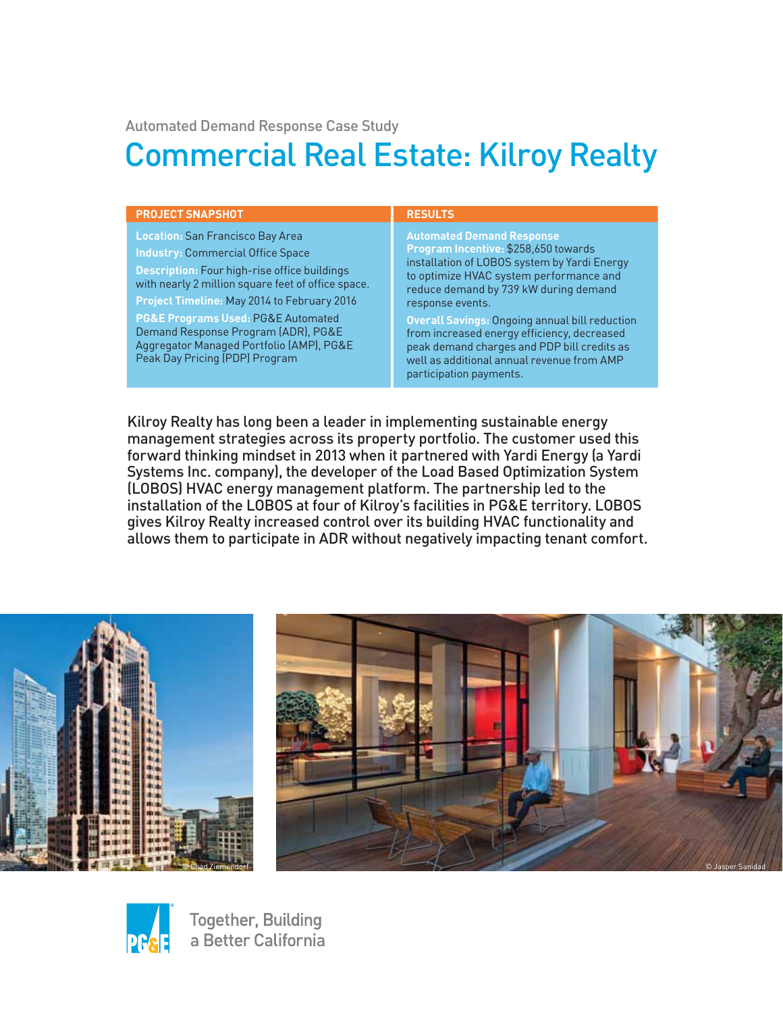Automated Demand Response Case Study

# Commercial Real Estate: Kilroy Realty

| <b>PROJECT SNAPSHOT</b>                                                                                                                                                                                                                                                                                                                                                                                                   | <b>RESULTS</b>                                                                                                                                                                                                                                                                                                                                                                                                                                                   |
|---------------------------------------------------------------------------------------------------------------------------------------------------------------------------------------------------------------------------------------------------------------------------------------------------------------------------------------------------------------------------------------------------------------------------|------------------------------------------------------------------------------------------------------------------------------------------------------------------------------------------------------------------------------------------------------------------------------------------------------------------------------------------------------------------------------------------------------------------------------------------------------------------|
| <b>Location: San Francisco Bay Area</b><br><b>Industry: Commercial Office Space</b><br><b>Description: Four high-rise office buildings</b><br>with nearly 2 million square feet of office space.<br>Project Timeline: May 2014 to February 2016<br><b>PG&amp;E Programs Used: PG&amp;E Automated</b><br>Demand Response Program (ADR), PG&E<br>Aggregator Managed Portfolio (AMP), PG&E<br>Peak Day Pricing (PDP) Program | <b>Automated Demand Response</b><br>Program Incentive: \$258,650 towards<br>installation of LOBOS system by Yardi Energy<br>to optimize HVAC system performance and<br>reduce demand by 739 kW during demand<br>response events.<br><b>Overall Savings: Ongoing annual bill reduction</b><br>from increased energy efficiency, decreased<br>peak demand charges and PDP bill credits as<br>well as additional annual revenue from AMP<br>participation payments. |

Kilroy Realty has long been a leader in implementing sustainable energy management strategies across its property portfolio. The customer used this forward thinking mindset in 2013 when it partnered with Yardi Energy (a Yardi Systems Inc. company), the developer of the Load Based Optimization System (LOBOS) HVAC energy management platform. The partnership led to the installation of the LOBOS at four of Kilroy's facilities in PG&E territory. LOBOS gives Kilroy Realty increased control over its building HVAC functionality and allows them to participate in ADR without negatively impacting tenant comfort.







**Together, Building** a Better California